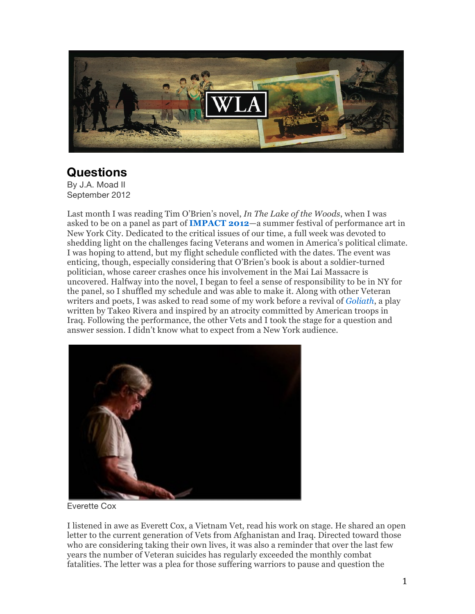

## **Questions**

By J.A. Moad II September 2012

Last month I was reading Tim O'Brien's novel, *In The Lake of the Woods*, when I was asked to be on a panel as part of **IMPACT 2012**—a summer festival of performance art in New York City. Dedicated to the critical issues of our time, a full week was devoted to shedding light on the challenges facing Veterans and women in America's political climate. I was hoping to attend, but my flight schedule conflicted with the dates. The event was enticing, though, especially considering that O'Brien's book is about a soldier-turned politician, whose career crashes once his involvement in the Mai Lai Massacre is uncovered. Halfway into the novel, I began to feel a sense of responsibility to be in NY for the panel, so I shuffled my schedule and was able to make it. Along with other Veteran writers and poets, I was asked to read some of my work before a revival of *Goliath*, a play written by Takeo Rivera and inspired by an atrocity committed by American troops in Iraq. Following the performance, the other Vets and I took the stage for a question and answer session. I didn't know what to expect from a New York audience.



Everette Cox

I listened in awe as Everett Cox, a Vietnam Vet, read his work on stage. He shared an open letter to the current generation of Vets from Afghanistan and Iraq. Directed toward those who are considering taking their own lives, it was also a reminder that over the last few years the number of Veteran suicides has regularly exceeded the monthly combat fatalities. The letter was a plea for those suffering warriors to pause and question the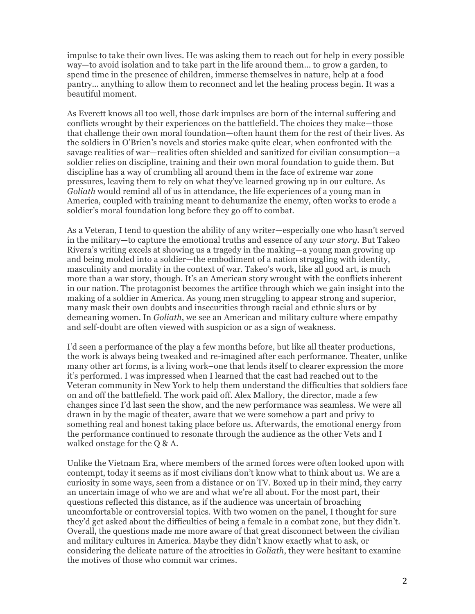impulse to take their own lives. He was asking them to reach out for help in every possible way—to avoid isolation and to take part in the life around them... to grow a garden, to spend time in the presence of children, immerse themselves in nature, help at a food pantry... anything to allow them to reconnect and let the healing process begin. It was a beautiful moment.

As Everett knows all too well, those dark impulses are born of the internal suffering and conflicts wrought by their experiences on the battlefield. The choices they make—those that challenge their own moral foundation—often haunt them for the rest of their lives. As the soldiers in O'Brien's novels and stories make quite clear, when confronted with the savage realities of war—realities often shielded and sanitized for civilian consumption—a soldier relies on discipline, training and their own moral foundation to guide them. But discipline has a way of crumbling all around them in the face of extreme war zone pressures, leaving them to rely on what they've learned growing up in our culture. As *Goliath* would remind all of us in attendance, the life experiences of a young man in America, coupled with training meant to dehumanize the enemy, often works to erode a soldier's moral foundation long before they go off to combat.

As a Veteran, I tend to question the ability of any writer—especially one who hasn't served in the military—to capture the emotional truths and essence of any *war story.* But Takeo Rivera's writing excels at showing us a tragedy in the making—a young man growing up and being molded into a soldier—the embodiment of a nation struggling with identity, masculinity and morality in the context of war. Takeo's work, like all good art, is much more than a war story, though. It's an American story wrought with the conflicts inherent in our nation. The protagonist becomes the artifice through which we gain insight into the making of a soldier in America. As young men struggling to appear strong and superior, many mask their own doubts and insecurities through racial and ethnic slurs or by demeaning women. In *Goliath*, we see an American and military culture where empathy and self-doubt are often viewed with suspicion or as a sign of weakness.

I'd seen a performance of the play a few months before, but like all theater productions, the work is always being tweaked and re-imagined after each performance. Theater, unlike many other art forms, is a living work–one that lends itself to clearer expression the more it's performed. I was impressed when I learned that the cast had reached out to the Veteran community in New York to help them understand the difficulties that soldiers face on and off the battlefield. The work paid off. Alex Mallory, the director, made a few changes since I'd last seen the show, and the new performance was seamless. We were all drawn in by the magic of theater, aware that we were somehow a part and privy to something real and honest taking place before us. Afterwards, the emotional energy from the performance continued to resonate through the audience as the other Vets and I walked onstage for the Q & A.

Unlike the Vietnam Era, where members of the armed forces were often looked upon with contempt, today it seems as if most civilians don't know what to think about us. We are a curiosity in some ways, seen from a distance or on TV. Boxed up in their mind, they carry an uncertain image of who we are and what we're all about. For the most part, their questions reflected this distance, as if the audience was uncertain of broaching uncomfortable or controversial topics. With two women on the panel, I thought for sure they'd get asked about the difficulties of being a female in a combat zone, but they didn't. Overall, the questions made me more aware of that great disconnect between the civilian and military cultures in America. Maybe they didn't know exactly what to ask, or considering the delicate nature of the atrocities in *Goliath*, they were hesitant to examine the motives of those who commit war crimes.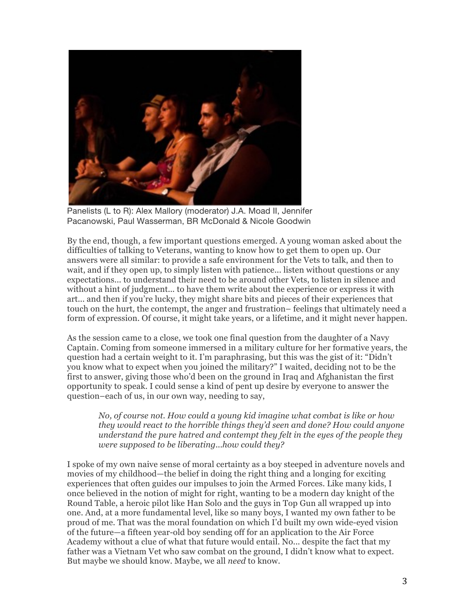

Panelists (L to R): Alex Mallory (moderator) J.A. Moad II, Jennifer Pacanowski, Paul Wasserman, BR McDonald & Nicole Goodwin

By the end, though, a few important questions emerged. A young woman asked about the difficulties of talking to Veterans, wanting to know how to get them to open up. Our answers were all similar: to provide a safe environment for the Vets to talk, and then to wait, and if they open up, to simply listen with patience... listen without questions or any expectations... to understand their need to be around other Vets, to listen in silence and without a hint of judgment... to have them write about the experience or express it with art... and then if you're lucky, they might share bits and pieces of their experiences that touch on the hurt, the contempt, the anger and frustration– feelings that ultimately need a form of expression. Of course, it might take years, or a lifetime, and it might never happen.

As the session came to a close, we took one final question from the daughter of a Navy Captain. Coming from someone immersed in a military culture for her formative years, the question had a certain weight to it. I'm paraphrasing, but this was the gist of it: "Didn't you know what to expect when you joined the military?" I waited, deciding not to be the first to answer, giving those who'd been on the ground in Iraq and Afghanistan the first opportunity to speak. I could sense a kind of pent up desire by everyone to answer the question–each of us, in our own way, needing to say,

*No, of course not. How could a young kid imagine what combat is like or how they would react to the horrible things they'd seen and done? How could anyone understand the pure hatred and contempt they felt in the eyes of the people they were supposed to be liberating...how could they?* 

I spoke of my own naive sense of moral certainty as a boy steeped in adventure novels and movies of my childhood—the belief in doing the right thing and a longing for exciting experiences that often guides our impulses to join the Armed Forces. Like many kids, I once believed in the notion of might for right, wanting to be a modern day knight of the Round Table, a heroic pilot like Han Solo and the guys in Top Gun all wrapped up into one. And, at a more fundamental level, like so many boys, I wanted my own father to be proud of me. That was the moral foundation on which I'd built my own wide-eyed vision of the future—a fifteen year-old boy sending off for an application to the Air Force Academy without a clue of what that future would entail. No... despite the fact that my father was a Vietnam Vet who saw combat on the ground, I didn't know what to expect. But maybe we should know. Maybe, we all *need* to know.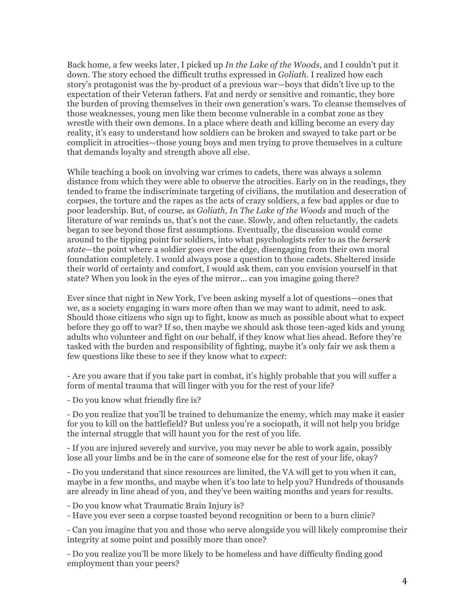Back home, a few weeks later, I picked up *In the Lake of the Woods*, and I couldn't put it down. The story echoed the difficult truths expressed in *Goliath.* I realized how each story's protagonist was the by-product of a previous war—boys that didn't live up to the expectation of their Veteran fathers. Fat and nerdy or sensitive and romantic, they bore the burden of proving themselves in their own generation's wars. To cleanse themselves of those weaknesses, young men like them become vulnerable in a combat zone as they wrestle with their own demons. In a place where death and killing become an every day reality, it's easy to understand how soldiers can be broken and swayed to take part or be complicit in atrocities—those young boys and men trying to prove themselves in a culture that demands loyalty and strength above all else.

While teaching a book on involving war crimes to cadets, there was always a solemn distance from which they were able to observe the atrocities. Early on in the readings, they tended to frame the indiscriminate targeting of civilians, the mutilation and desecration of corpses, the torture and the rapes as the acts of crazy soldiers, a few bad apples or due to poor leadership. But, of course, as *Goliath, In The Lake of the Woods* and much of the literature of war reminds us, that's not the case. Slowly, and often reluctantly, the cadets began to see beyond those first assumptions. Eventually, the discussion would come around to the tipping point for soldiers, into what psychologists refer to as the *berserk state*—the point where a soldier goes over the edge, disengaging from their own moral foundation completely. I would always pose a question to those cadets. Sheltered inside their world of certainty and comfort, I would ask them, can you envision yourself in that state? When you look in the eyes of the mirror... can you imagine going there?

Ever since that night in New York, I've been asking myself a lot of questions—ones that we, as a society engaging in wars more often than we may want to admit, need to ask. Should those citizens who sign up to fight, know as much as possible about what to expect before they go off to war? If so, then maybe we should ask those teen-aged kids and young adults who volunteer and fight on our behalf, if they know what lies ahead. Before they're tasked with the burden and responsibility of fighting, maybe it's only fair we ask them a few questions like these to see if they know what to *expect*:

- Are you aware that if you take part in combat, it's highly probable that you will suffer a form of mental trauma that will linger with you for the rest of your life?

- Do you know what friendly fire is?

- Do you realize that you'll be trained to dehumanize the enemy, which may make it easier for you to kill on the battlefield? But unless you're a sociopath, it will not help you bridge the internal struggle that will haunt you for the rest of you life.

- If you are injured severely and survive, you may never be able to work again, possibly lose all your limbs and be in the care of someone else for the rest of your life, okay?

- Do you understand that since resources are limited, the VA will get to you when it can, maybe in a few months, and maybe when it's too late to help you? Hundreds of thousands are already in line ahead of you, and they've been waiting months and years for results.

- Do you know what Traumatic Brain Injury is?

- Have you ever seen a corpse toasted beyond recognition or been to a burn clinic?

- Can you imagine that you and those who serve alongside you will likely compromise their integrity at some point and possibly more than once?

- Do you realize you'll be more likely to be homeless and have difficulty finding good employment than your peers?